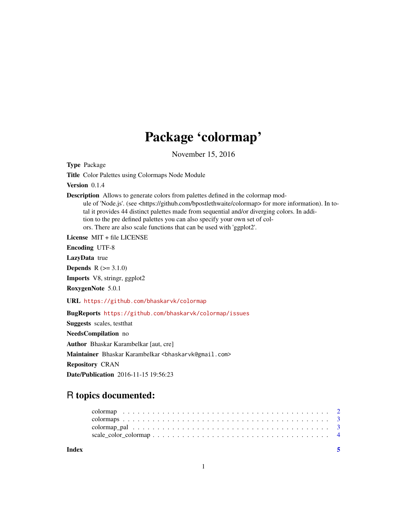## Package 'colormap'

November 15, 2016

<span id="page-0-0"></span>Type Package Title Color Palettes using Colormaps Node Module

Version 0.1.4

Description Allows to generate colors from palettes defined in the colormap mod-

ule of 'Node.js'. (see <https://github.com/bpostlethwaite/colormap> for more information). In total it provides 44 distinct palettes made from sequential and/or diverging colors. In addition to the pre defined palettes you can also specify your own set of colors. There are also scale functions that can be used with 'ggplot2'.

License MIT + file LICENSE

Encoding UTF-8

LazyData true

**Depends**  $R (= 3.1.0)$ 

Imports V8, stringr, ggplot2

RoxygenNote 5.0.1

URL <https://github.com/bhaskarvk/colormap>

BugReports <https://github.com/bhaskarvk/colormap/issues>

Suggests scales, testthat NeedsCompilation no Author Bhaskar Karambelkar [aut, cre] Maintainer Bhaskar Karambelkar <br/>bhaskarvk@gmail.com> Repository CRAN Date/Publication 2016-11-15 19:56:23

### R topics documented:

| Index |  |
|-------|--|
|       |  |
|       |  |
|       |  |
|       |  |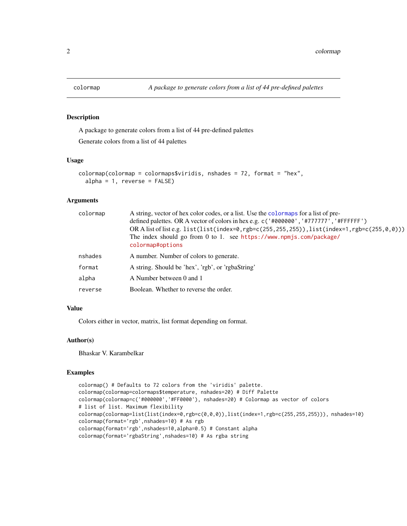<span id="page-1-1"></span><span id="page-1-0"></span>

#### Description

A package to generate colors from a list of 44 pre-defined palettes

Generate colors from a list of 44 palettes

#### Usage

```
colormap(colormap = colormaps$viridis, nshades = 72, format = "hex",
  alpha = 1, reverse = FALSE)
```
#### Arguments

| colormap | A string, vector of hex color codes, or a list. Use the colormaps for a list of pre-<br>defined palettes. OR A vector of colors in hex e.g. c('#000000', '#777777', '#FFFFFF')<br>OR A list of list e.g. list(list(index=0,rgb=c(255,255,255)),list(index=1,rgb=c(255,0,0)))<br>The index should go from 0 to 1. see https://www.npmjs.com/package/<br>colormap#options |
|----------|-------------------------------------------------------------------------------------------------------------------------------------------------------------------------------------------------------------------------------------------------------------------------------------------------------------------------------------------------------------------------|
| nshades  | A number. Number of colors to generate.                                                                                                                                                                                                                                                                                                                                 |
| format   | A string. Should be 'hex', 'rgb', or 'rgbaString'                                                                                                                                                                                                                                                                                                                       |
| alpha    | A Number between 0 and 1                                                                                                                                                                                                                                                                                                                                                |
| reverse  | Boolean. Whether to reverse the order.                                                                                                                                                                                                                                                                                                                                  |

#### Value

Colors either in vector, matrix, list format depending on format.

#### Author(s)

Bhaskar V. Karambelkar

#### Examples

```
colormap() # Defaults to 72 colors from the 'viridis' palette.
colormap(colormap=colormaps$temperature, nshades=20) # Diff Palette
colormap(colormap=c('#000000','#FF0000'), nshades=20) # Colormap as vector of colors
# list of list. Maximum flexibility
colormap(colormap=list(list(index=0,rgb=c(0,0,0)),list(index=1,rgb=c(255,255,255))), nshades=10)
colormap(format='rgb',nshades=10) # As rgb
colormap(format='rgb',nshades=10,alpha=0.5) # Constant alpha
colormap(format='rgbaString',nshades=10) # As rgba string
```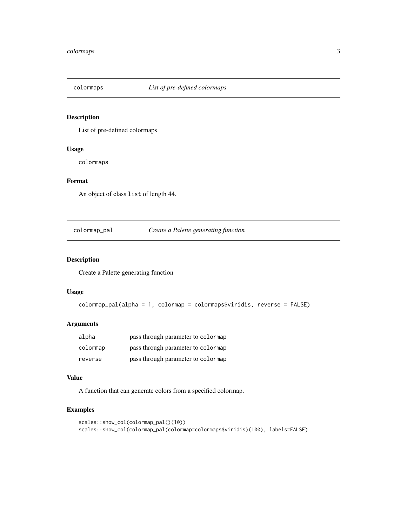<span id="page-2-1"></span><span id="page-2-0"></span>

#### Description

List of pre-defined colormaps

#### Usage

colormaps

#### Format

An object of class list of length 44.

colormap\_pal *Create a Palette generating function*

#### Description

Create a Palette generating function

#### Usage

```
colormap_pal(alpha = 1, colormap = colormaps$viridis, reverse = FALSE)
```
#### Arguments

| alpha    | pass through parameter to colormap |
|----------|------------------------------------|
| colormap | pass through parameter to colormap |
| reverse  | pass through parameter to colormap |

#### Value

A function that can generate colors from a specified colormap.

#### Examples

```
scales::show_col(colormap_pal()(10))
scales::show_col(colormap_pal(colormap=colormaps$viridis)(100), labels=FALSE)
```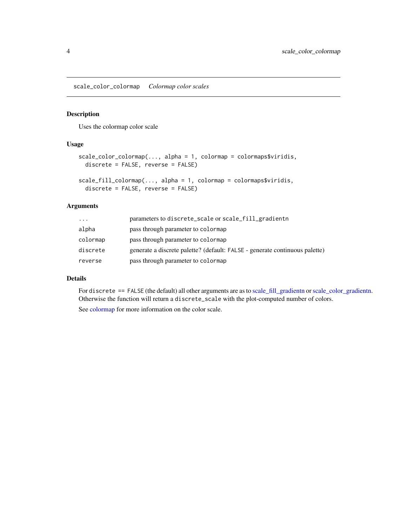<span id="page-3-0"></span>scale\_color\_colormap *Colormap color scales*

#### Description

Uses the colormap color scale

#### Usage

```
scale_color_colormap(..., alpha = 1, colormap = colormaps$viridis,
 discrete = FALSE, reverse = FALSE)
```

```
scale_fill_colormap(..., alpha = 1, colormap = colormaps$viridis,
 discrete = FALSE, reverse = FALSE)
```
#### Arguments

| $\cdots$ | parameters to discrete_scale or scale_fill_gradientn                        |
|----------|-----------------------------------------------------------------------------|
| alpha    | pass through parameter to colormap                                          |
| colormap | pass through parameter to colormap                                          |
| discrete | generate a discrete palette? (default: FALSE - generate continuous palette) |
| reverse  | pass through parameter to colormap                                          |

#### Details

For discrete == FALSE (the default) all other arguments are as to [scale\\_fill\\_gradientn](#page-0-0) or [scale\\_color\\_gradientn.](#page-0-0) Otherwise the function will return a discrete\_scale with the plot-computed number of colors.

See [colormap](#page-1-1) for more information on the color scale.